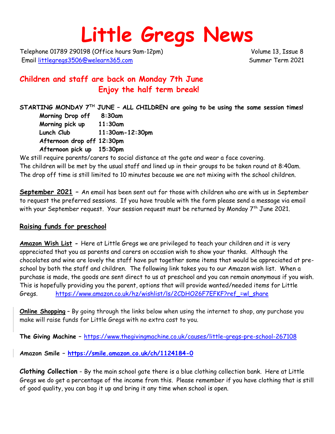# **Little Gregs News**

Telephone 01789 290198 (Office hours 9am-12pm) Volume 13, Issue 8 Email [littlegregs3506@welearn365.com](mailto:littlegregs3506@welearn365.com) Summer Term 2021

## **Children and staff are back on Monday 7th June Enjoy the half term break!**

**STARTING MONDAY 7TH JUNE – ALL CHILDREN are going to be using the same session times!**

**Morning Drop off 8:30am Morning pick up 11:30am Lunch Club 11:30am-12:30pm Afternoon drop off 12:30pm Afternoon pick up 15:30pm**

We still require parents/carers to social distance at the gate and wear a face covering. The children will be met by the usual staff and lined up in their groups to be taken round at 8:40am. The drop off time is still limited to 10 minutes because we are not mixing with the school children.

**September 2021 –** An email has been sent out for those with children who are with us in September to request the preferred sessions. If you have trouble with the form please send a message via email with your September request. Your session request must be returned by Monday  $7<sup>th</sup>$  June 2021.

#### **Raising funds for preschool**

**Amazon Wish List -** Here at Little Gregs we are privileged to teach your children and it is very appreciated that you as parents and carers on occasion wish to show your thanks. Although the chocolates and wine are lovely the staff have put together some items that would be appreciated at preschool by both the staff and children. The following link takes you to our Amazon wish list. When a purchase is made, the goods are sent direct to us at preschool and you can remain anonymous if you wish. This is hopefully providing you the parent, options that will provide wanted/needed items for Little Gregs. https://www.amazon.co.uk/hz/wishlist/ls/2CDHO26F7EFKF?ref =wl\_share

**Online Shopping** – By going through the links below when using the internet to shop, any purchase you make will raise funds for Little Gregs with no extra cost to you.

**The Giving Machine –** <https://www.thegivingmachine.co.uk/causes/little-gregs-pre-school-267108>

**Amazon Smile – <https://smile.amazon.co.uk/ch/1124184-0>**

**Clothing Collection** - By the main school gate there is a blue clothing collection bank. Here at Little Gregs we do get a percentage of the income from this. Please remember if you have clothing that is still of good quality, you can bag it up and bring it any time when school is open.